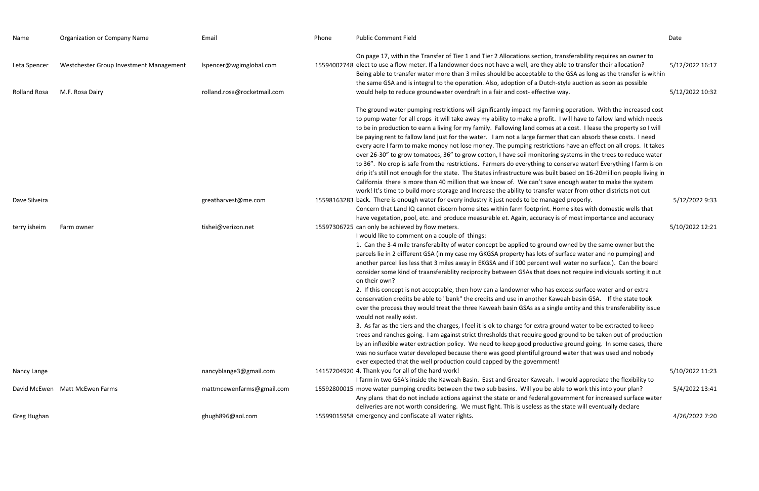| Name                                | <b>Organization or Company Name</b>                        | Email                                                  | Phone | <b>Public Comment Field</b>                                                                                                                                                                                                                                                                                                                                                                                                                                                                                                                                                                                                                                                                                                                                                                                                                                                                                                                                                                                                                                                                                                                                                                                                                                                                                                                                                                                                                                                                       | Date         |
|-------------------------------------|------------------------------------------------------------|--------------------------------------------------------|-------|---------------------------------------------------------------------------------------------------------------------------------------------------------------------------------------------------------------------------------------------------------------------------------------------------------------------------------------------------------------------------------------------------------------------------------------------------------------------------------------------------------------------------------------------------------------------------------------------------------------------------------------------------------------------------------------------------------------------------------------------------------------------------------------------------------------------------------------------------------------------------------------------------------------------------------------------------------------------------------------------------------------------------------------------------------------------------------------------------------------------------------------------------------------------------------------------------------------------------------------------------------------------------------------------------------------------------------------------------------------------------------------------------------------------------------------------------------------------------------------------------|--------------|
| Leta Spencer<br><b>Rolland Rosa</b> | Westchester Group Investment Management<br>M.F. Rosa Dairy | Ispencer@wgimglobal.com<br>rolland.rosa@rocketmail.com |       | On page 17, within the Transfer of Tier 1 and Tier 2 Allocations section, transferability requires an owner to<br>15594002748 elect to use a flow meter. If a landowner does not have a well, are they able to transfer their allocation?<br>Being able to transfer water more than 3 miles should be acceptable to the GSA as long as the transfer is within<br>the same GSA and is integral to the operation. Also, adoption of a Dutch-style auction as soon as possible<br>would help to reduce groundwater overdraft in a fair and cost-effective way.                                                                                                                                                                                                                                                                                                                                                                                                                                                                                                                                                                                                                                                                                                                                                                                                                                                                                                                                       | 5/12<br>5/12 |
|                                     |                                                            |                                                        |       | The ground water pumping restrictions will significantly impact my farming operation. With the increased cost<br>to pump water for all crops it will take away my ability to make a profit. I will have to fallow land which needs<br>to be in production to earn a living for my family. Fallowing land comes at a cost. I lease the property so I will<br>be paying rent to fallow land just for the water. I am not a large farmer that can absorb these costs. I need<br>every acre I farm to make money not lose money. The pumping restrictions have an effect on all crops. It takes<br>over 26-30" to grow tomatoes, 36" to grow cotton, I have soil monitoring systems in the trees to reduce water<br>to 36". No crop is safe from the restrictions. Farmers do everything to conserve water! Everything I farm is on<br>drip it's still not enough for the state. The States infrastructure was built based on 16-20million people living in<br>California there is more than 40 million that we know of. We can't save enough water to make the system<br>work! It's time to build more storage and Increase the ability to transfer water from other districts not cut                                                                                                                                                                                                                                                                                                               |              |
| Dave Silveira                       |                                                            | greatharvest@me.com                                    |       | 15598163283 back. There is enough water for every industry it just needs to be managed properly.<br>Concern that Land IQ cannot discern home sites within farm footprint. Home sites with domestic wells that<br>have vegetation, pool, etc. and produce measurable et. Again, accuracy is of most importance and accuracy                                                                                                                                                                                                                                                                                                                                                                                                                                                                                                                                                                                                                                                                                                                                                                                                                                                                                                                                                                                                                                                                                                                                                                        | 5/1          |
| terry isheim                        | Farm owner                                                 | tishei@verizon.net                                     |       | 15597306725 can only be achieved by flow meters.<br>I would like to comment on a couple of things:<br>1. Can the 3-4 mile transferabilty of water concept be applied to ground owned by the same owner but the<br>parcels lie in 2 different GSA (in my case my GKGSA property has lots of surface water and no pumping) and<br>another parcel lies less that 3 miles away in EKGSA and if 100 percent well water no surface.). Can the board<br>consider some kind of traansferablity reciprocity between GSAs that does not require individuals sorting it out<br>on their own?<br>2. If this concept is not acceptable, then how can a landowner who has excess surface water and or extra<br>conservation credits be able to "bank" the credits and use in another Kaweah basin GSA. If the state took<br>over the process they would treat the three Kaweah basin GSAs as a single entity and this transferability issue<br>would not really exist.<br>3. As far as the tiers and the charges, I feel it is ok to charge for extra ground water to be extracted to keep<br>trees and ranches going. I am against strict thresholds that require good ground to be taken out of production<br>by an inflexible water extraction policy. We need to keep good productive ground going. In some cases, there<br>was no surface water developed because there was good plentiful ground water that was used and nobody<br>ever expected that the well production could capped by the government! | 5/10         |
| Nancy Lange                         |                                                            | nancyblange3@gmail.com                                 |       | 14157204920 4. Thank you for all of the hard work!<br>I farm in two GSA's inside the Kaweah Basin. East and Greater Kaweah. I would appreciate the flexibility to                                                                                                                                                                                                                                                                                                                                                                                                                                                                                                                                                                                                                                                                                                                                                                                                                                                                                                                                                                                                                                                                                                                                                                                                                                                                                                                                 | 5/10         |
|                                     | David McEwen Matt McEwen Farms                             | mattmcewenfarms@gmail.com                              |       | 15592800015 move water pumping credits between the two sub basins. Will you be able to work this into your plan?<br>Any plans that do not include actions against the state or and federal government for increased surface water<br>deliveries are not worth considering. We must fight. This is useless as the state will eventually declare                                                                                                                                                                                                                                                                                                                                                                                                                                                                                                                                                                                                                                                                                                                                                                                                                                                                                                                                                                                                                                                                                                                                                    | 5/4          |
| Greg Hughan                         |                                                            | ghugh896@aol.com                                       |       | 15599015958 emergency and confiscate all water rights.                                                                                                                                                                                                                                                                                                                                                                                                                                                                                                                                                                                                                                                                                                                                                                                                                                                                                                                                                                                                                                                                                                                                                                                                                                                                                                                                                                                                                                            | 4/2          |

transferability requires an owner to able to transfer their allocation?  $5/12/2022$  16:17 the GSA as long as the transfer is within h-style auction as soon as possible  $e$  way.  $5/12/2022$  10:32

ning operation. With the increased cost  $t$ . I will have to fallow land which needs to be in property so I will at a cost. I lease the property so I will r that can absorb these costs. I need ions have an effect on all crops. It takes ng systems in the trees to reduce water conserve water! Everything I farm is on ilt based on 16-20million people living in e enough water to make the system r water from other districts not cut  $b$ aged properly.  $5/12/2022$  9:33

I would appreciate the flexibility to able to work this into your plan?  $5/4/2022$  13:41 overnment for increased surface water he state will eventually declare.

## 5/10/2022 12:21

5/10/2022 11:23

emergency and confiscate all water rights. 4/26/2022 7:20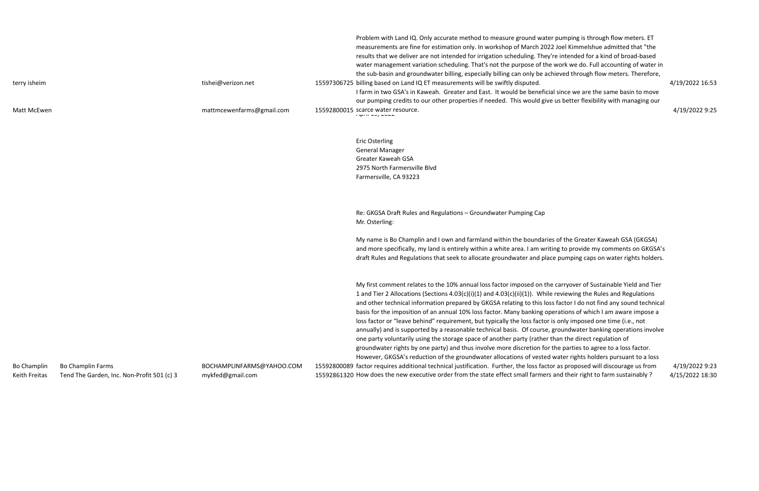billing based on Land IQ ET measurements will be swiftly disputed. 4/19/2022 16:53

| terry isheim                        |                                                                        | tishei@verizon.net                            | Problem with Land IQ. Only accurate method to measure ground water p<br>measurements are fine for estimation only. In workshop of March 2022 J<br>results that we deliver are not intended for irrigation scheduling. They're<br>water management variation scheduling. That's not the purpose of the w<br>the sub-basin and groundwater billing, especially billing can only be achie<br>15597306725 billing based on Land IQ ET measurements will be swiftly disputed.                                                                                                                                                                                                                                                  |
|-------------------------------------|------------------------------------------------------------------------|-----------------------------------------------|---------------------------------------------------------------------------------------------------------------------------------------------------------------------------------------------------------------------------------------------------------------------------------------------------------------------------------------------------------------------------------------------------------------------------------------------------------------------------------------------------------------------------------------------------------------------------------------------------------------------------------------------------------------------------------------------------------------------------|
|                                     |                                                                        |                                               | I farm in two GSA's in Kaweah. Greater and East. It would be beneficial s<br>our pumping credits to our other properties if needed. This would give us                                                                                                                                                                                                                                                                                                                                                                                                                                                                                                                                                                    |
| Matt McEwen                         |                                                                        | mattmcewenfarms@gmail.com                     | 15592800015 scarce water resource.                                                                                                                                                                                                                                                                                                                                                                                                                                                                                                                                                                                                                                                                                        |
|                                     |                                                                        |                                               | <b>Eric Osterling</b><br><b>General Manager</b><br>Greater Kaweah GSA<br>2975 North Farmersville Blvd<br>Farmersville, CA 93223                                                                                                                                                                                                                                                                                                                                                                                                                                                                                                                                                                                           |
|                                     |                                                                        |                                               | Re: GKGSA Draft Rules and Regulations - Groundwater Pumping Cap<br>Mr. Osterling:                                                                                                                                                                                                                                                                                                                                                                                                                                                                                                                                                                                                                                         |
|                                     |                                                                        |                                               | My name is Bo Champlin and I own and farmland within the boundaries of<br>and more specifically, my land is entirely within a white area. I am writing<br>draft Rules and Regulations that seek to allocate groundwater and place                                                                                                                                                                                                                                                                                                                                                                                                                                                                                         |
|                                     |                                                                        |                                               | My first comment relates to the 10% annual loss factor imposed on the ca<br>1 and Tier 2 Allocations (Sections 4.03(c)(i)(1) and 4.03(c)(ii)(1)). While re<br>and other technical information prepared by GKGSA relating to this loss fa<br>basis for the imposition of an annual 10% loss factor. Many banking opera<br>loss factor or "leave behind" requirement, but typically the loss factor is o<br>annually) and is supported by a reasonable technical basis. Of course, gro<br>one party voluntarily using the storage space of another party (rather tha<br>groundwater rights by one party) and thus involve more discretion for the<br>However, GKGSA's reduction of the groundwater allocations of vested wa |
| <b>Bo Champlin</b><br>Keith Freitas | <b>Bo Champlin Farms</b><br>Tend The Garden, Inc. Non-Profit 501 (c) 3 | BOCHAMPLINFARMS@YAHOO.COM<br>mykfed@gmail.com | 15592800089 factor requires additional technical justification. Further, the loss factor a<br>15592861320 How does the new executive order from the state effect small farmers an                                                                                                                                                                                                                                                                                                                                                                                                                                                                                                                                         |

Problem with Land in Dem meters. Etcom pumping is through flow meters. ET Joel Kimmelshue admitted that "the intended for a kind of broad-based vork we do. Full accounting of water in eved through flow meters. Therefore,

since we are the same basin to move us better flexibility with managing our

scarce water resource. 4/19/2022 9:25

of the Greater Kaweah GSA (GKGSA) g to provide my comments on GKGSA's pumping caps on water rights holders.

arryover of Sustainable Yield and Tier eviewing the Rules and Regulations iactor I do not find any sound technical ations of which I am aware impose a only imposed one time (i.e., not oundwater banking operations involve an the direct regulation of e parties to agree to a loss factor. ater rights holders pursuant to a loss as proposed will discourage us from atechnical 9:23 nd their right to farm sustainably ? at 15/2022 18:30